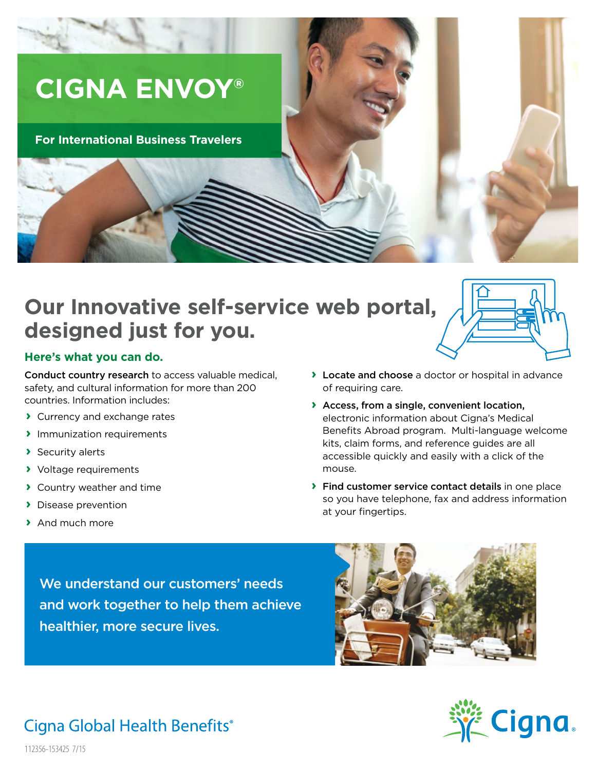# **CIGNA ENVOY®**

### **For International Business Travelers**

## **Our Innovative self-service web portal, designed just for you.**



#### **Here's what you can do.**

Conduct country research to access valuable medical, safety, and cultural information for more than 200 countries. Information includes:

- **›** Currency and exchange rates
- **›** Immunization requirements
- **›** Security alerts
- **›** Voltage requirements
- **›** Country weather and time
- **›** Disease prevention
- **›** And much more
- **›** Locate and choose a doctor or hospital in advance of requiring care.
- **›** Access, from a single, convenient location, electronic information about Cigna's Medical Benefits Abroad program. Multi-language welcome kits, claim forms, and reference guides are all accessible quickly and easily with a click of the mouse.
- **›** Find customer service contact details in one place so you have telephone, fax and address information at your fingertips.

We understand our customers' needs and work together to help them achieve healthier, more secure lives.





### Cigna Global Health Benefits®

112356-153425 7/15